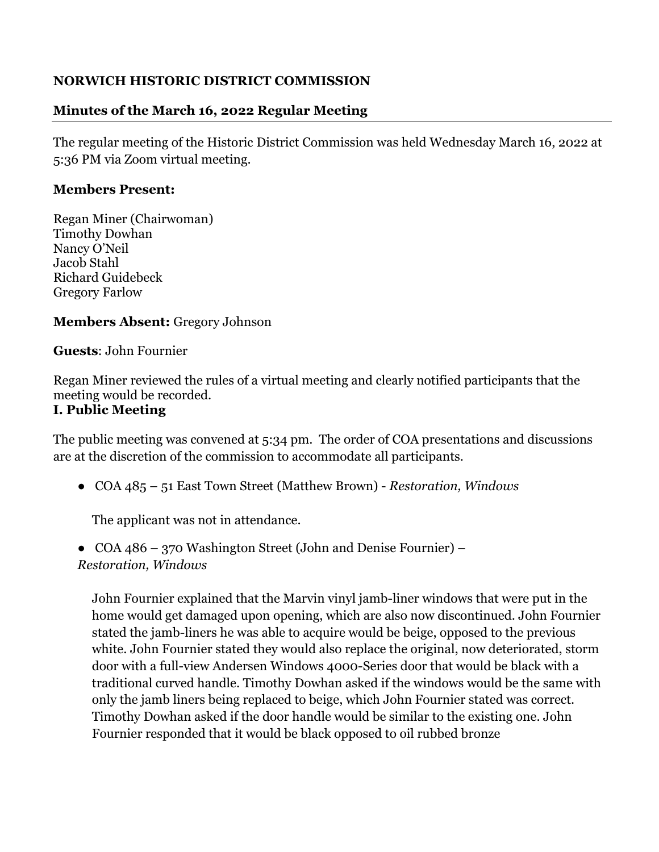## **NORWICH HISTORIC DISTRICT COMMISSION**

## **Minutes of the March 16, 2022 Regular Meeting**

The regular meeting of the Historic District Commission was held Wednesday March 16, 2022 at 5:36 PM via Zoom virtual meeting.

## **Members Present:**

Regan Miner (Chairwoman) Timothy Dowhan Nancy O'Neil Jacob Stahl Richard Guidebeck Gregory Farlow

## **Members Absent:** Gregory Johnson

**Guests**: John Fournier

Regan Miner reviewed the rules of a virtual meeting and clearly notified participants that the meeting would be recorded.

## **I. Public Meeting**

The public meeting was convened at 5:34 pm. The order of COA presentations and discussions are at the discretion of the commission to accommodate all participants.

● COA 485 – 51 East Town Street (Matthew Brown) - *Restoration, Windows*

The applicant was not in attendance.

• COA 486 – 370 Washington Street (John and Denise Fournier) –

*Restoration, Windows* 

John Fournier explained that the Marvin vinyl jamb-liner windows that were put in the home would get damaged upon opening, which are also now discontinued. John Fournier stated the jamb-liners he was able to acquire would be beige, opposed to the previous white. John Fournier stated they would also replace the original, now deteriorated, storm door with a full-view Andersen Windows 4000-Series door that would be black with a traditional curved handle. Timothy Dowhan asked if the windows would be the same with only the jamb liners being replaced to beige, which John Fournier stated was correct. Timothy Dowhan asked if the door handle would be similar to the existing one. John Fournier responded that it would be black opposed to oil rubbed bronze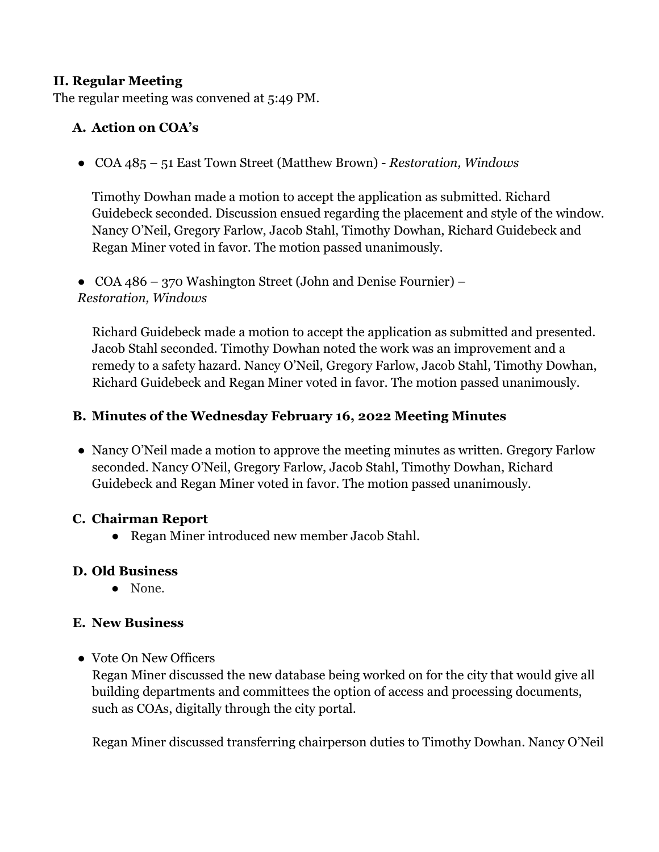## **II. Regular Meeting**

The regular meeting was convened at 5:49 PM.

## **A. Action on COA's**

● COA 485 – 51 East Town Street (Matthew Brown) - *Restoration, Windows* 

Timothy Dowhan made a motion to accept the application as submitted. Richard Guidebeck seconded. Discussion ensued regarding the placement and style of the window. Nancy O'Neil, Gregory Farlow, Jacob Stahl, Timothy Dowhan, Richard Guidebeck and Regan Miner voted in favor. The motion passed unanimously.

• COA 486 – 370 Washington Street (John and Denise Fournier) – *Restoration, Windows* 

Richard Guidebeck made a motion to accept the application as submitted and presented. Jacob Stahl seconded. Timothy Dowhan noted the work was an improvement and a remedy to a safety hazard. Nancy O'Neil, Gregory Farlow, Jacob Stahl, Timothy Dowhan, Richard Guidebeck and Regan Miner voted in favor. The motion passed unanimously.

## **B. Minutes of the Wednesday February 16, 2022 Meeting Minutes**

• Nancy O'Neil made a motion to approve the meeting minutes as written. Gregory Farlow seconded. Nancy O'Neil, Gregory Farlow, Jacob Stahl, Timothy Dowhan, Richard Guidebeck and Regan Miner voted in favor. The motion passed unanimously.

## **C. Chairman Report**

● Regan Miner introduced new member Jacob Stahl.

## **D. Old Business**

● None.

## **E. New Business**

## ● Vote On New Officers

Regan Miner discussed the new database being worked on for the city that would give all building departments and committees the option of access and processing documents, such as COAs, digitally through the city portal.

Regan Miner discussed transferring chairperson duties to Timothy Dowhan. Nancy O'Neil